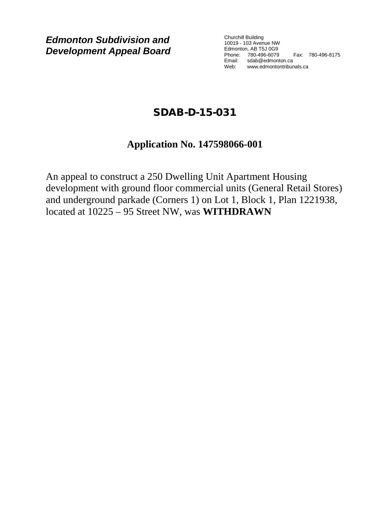*Edmonton Subdivision and Development Appeal Board*

Churchill Building 10019 - 103 Avenue NW Edmonton, AB T5J 0G9 Phone: 780-496-6079 Fax: 780-496-8175 Email: sdab@edmonton.ca Web: www.edmontontribunals.ca

# SDAB-D-15-031

## **Application No. 147598066-001**

An appeal to construct a 250 Dwelling Unit Apartment Housing development with ground floor commercial units (General Retail Stores) and underground parkade (Corners 1) on Lot 1, Block 1, Plan 1221938, located at 10225 – 95 Street NW, was **WITHDRAWN**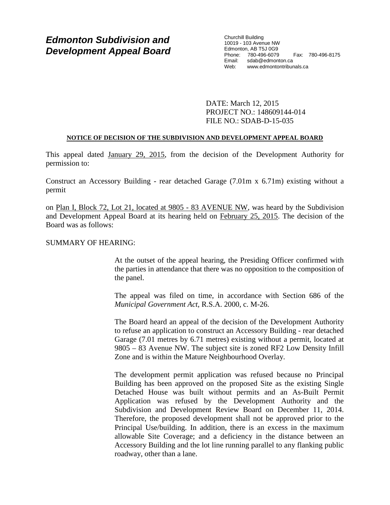### *Edmonton Subdivision and Development Appeal Board*

Churchill Building 10019 - 103 Avenue NW Edmonton, AB T5J 0G9 Phone: 780-496-6079 Fax: 780-496-8175 Email: sdab@edmonton.ca Web: www.edmontontribunals.ca

DATE: March 12, 2015 PROJECT NO.: 148609144-014 FILE NO.: SDAB-D-15-035

#### **NOTICE OF DECISION OF THE SUBDIVISION AND DEVELOPMENT APPEAL BOARD**

This appeal dated January 29, 2015, from the decision of the Development Authority for permission to:

Construct an Accessory Building - rear detached Garage (7.01m x 6.71m) existing without a permit

on Plan I, Block 72, Lot 21, located at 9805 - 83 AVENUE NW, was heard by the Subdivision and Development Appeal Board at its hearing held on February 25, 2015. The decision of the Board was as follows:

#### SUMMARY OF HEARING:

At the outset of the appeal hearing, the Presiding Officer confirmed with the parties in attendance that there was no opposition to the composition of the panel.

The appeal was filed on time, in accordance with Section 686 of the *Municipal Government Act*, R.S.A. 2000, c. M-26.

The Board heard an appeal of the decision of the Development Authority to refuse an application to construct an Accessory Building - rear detached Garage (7.01 metres by 6.71 metres) existing without a permit, located at 9805 – 83 Avenue NW. The subject site is zoned RF2 Low Density Infill Zone and is within the Mature Neighbourhood Overlay.

The development permit application was refused because no Principal Building has been approved on the proposed Site as the existing Single Detached House was built without permits and an As-Built Permit Application was refused by the Development Authority and the Subdivision and Development Review Board on December 11, 2014. Therefore, the proposed development shall not be approved prior to the Principal Use/building. In addition, there is an excess in the maximum allowable Site Coverage; and a deficiency in the distance between an Accessory Building and the lot line running parallel to any flanking public roadway, other than a lane.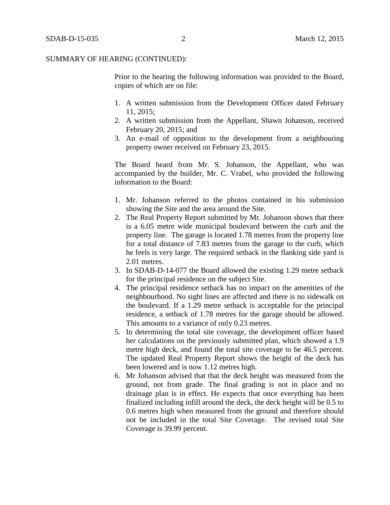Prior to the hearing the following information was provided to the Board, copies of which are on file:

- 1. A written submission from the Development Officer dated February 11, 2015;
- 2. A written submission from the Appellant, Shawn Johanson, received February 20, 2015; and
- 3. An e-mail of opposition to the development from a neighbouring property owner received on February 23, 2015.

The Board heard from Mr. S. Johanson, the Appellant, who was accompanied by the builder, Mr. C. Vrabel, who provided the following information to the Board:

- 1. Mr. Johanson referred to the photos contained in his submission showing the Site and the area around the Site.
- 2. The Real Property Report submitted by Mr. Johanson shows that there is a 6.05 metre wide municipal boulevard between the curb and the property line. The garage is located 1.78 metres from the property line for a total distance of 7.83 metres from the garage to the curb, which he feels is very large. The required setback in the flanking side yard is 2.01 metres.
- 3. In SDAB-D-14-077 the Board allowed the existing 1.29 metre setback for the principal residence on the subject Site.
- 4. The principal residence setback has no impact on the amenities of the neighbourhood. No sight lines are affected and there is no sidewalk on the boulevard. If a 1.29 metre setback is acceptable for the principal residence, a setback of 1.78 metres for the garage should be allowed. This amounts to a variance of only 0.23 metres.
- 5. In determining the total site coverage, the development officer based her calculations on the previously submitted plan, which showed a 1.9 metre high deck, and found the total site coverage to be 46.5 percent. The updated Real Property Report shows the height of the deck has been lowered and is now 1.12 metres high.
- 6. Mr Johanson advised that that the deck height was measured from the ground, not from grade. The final grading is not in place and no drainage plan is in effect. He expects that once everything has been finalized including infill around the deck, the deck height will be 0.5 to 0.6 metres high when measured from the ground and therefore should not be included in the total Site Coverage. The revised total Site Coverage is 39.99 percent.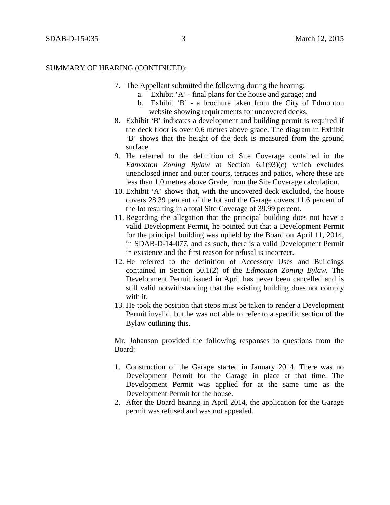- 7. The Appellant submitted the following during the hearing:
	- a. Exhibit 'A' final plans for the house and garage; and
	- b. Exhibit 'B' a brochure taken from the City of Edmonton website showing requirements for uncovered decks.
- 8. Exhibit 'B' indicates a development and building permit is required if the deck floor is over 0.6 metres above grade. The diagram in Exhibit 'B' shows that the height of the deck is measured from the ground surface.
- 9. He referred to the definition of Site Coverage contained in the *Edmonton Zoning Bylaw* at Section 6.1(93)(c) which excludes unenclosed inner and outer courts, terraces and patios, where these are less than [1.0](javascript:void(0);) metres above Grade, from the Site Coverage calculation.
- 10. Exhibit 'A' shows that, with the uncovered deck excluded, the house covers 28.39 percent of the lot and the Garage covers 11.6 percent of the lot resulting in a total Site Coverage of 39.99 percent.
- 11. Regarding the allegation that the principal building does not have a valid Development Permit, he pointed out that a Development Permit for the principal building was upheld by the Board on April 11, 2014, in SDAB-D-14-077, and as such, there is a valid Development Permit in existence and the first reason for refusal is incorrect.
- 12. He referred to the definition of Accessory Uses and Buildings contained in Section 50.1(2) of the *Edmonton Zoning Bylaw.* The Development Permit issued in April has never been cancelled and is still valid notwithstanding that the existing building does not comply with it.
- 13. He took the position that steps must be taken to render a Development Permit invalid, but he was not able to refer to a specific section of the Bylaw outlining this.

Mr. Johanson provided the following responses to questions from the Board:

- 1. Construction of the Garage started in January 2014. There was no Development Permit for the Garage in place at that time. The Development Permit was applied for at the same time as the Development Permit for the house.
- 2. After the Board hearing in April 2014, the application for the Garage permit was refused and was not appealed.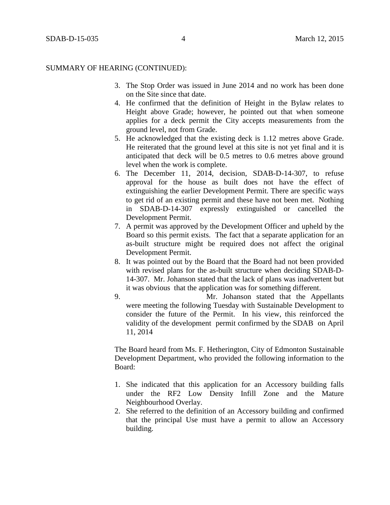- 3. The Stop Order was issued in June 2014 and no work has been done on the Site since that date.
- 4. He confirmed that the definition of Height in the Bylaw relates to Height above Grade; however, he pointed out that when someone applies for a deck permit the City accepts measurements from the ground level, not from Grade.
- 5. He acknowledged that the existing deck is 1.12 metres above Grade. He reiterated that the ground level at this site is not yet final and it is anticipated that deck will be 0.5 metres to 0.6 metres above ground level when the work is complete.
- 6. The December 11, 2014, decision, SDAB-D-14-307, to refuse approval for the house as built does not have the effect of extinguishing the earlier Development Permit. There are specific ways to get rid of an existing permit and these have not been met. Nothing in SDAB-D-14-307 expressly extinguished or cancelled the Development Permit.
- 7. A permit was approved by the Development Officer and upheld by the Board so this permit exists. The fact that a separate application for an as-built structure might be required does not affect the original Development Permit.
- 8. It was pointed out by the Board that the Board had not been provided with revised plans for the as-built structure when deciding SDAB-D-14-307. Mr. Johanson stated that the lack of plans was inadvertent but it was obvious that the application was for something different.
- 9. Mr. Johanson stated that the Appellants were meeting the following Tuesday with Sustainable Development to consider the future of the Permit. In his view, this reinforced the validity of the development permit confirmed by the SDAB on April 11, 2014

The Board heard from Ms. F. Hetherington, City of Edmonton Sustainable Development Department, who provided the following information to the Board:

- 1. She indicated that this application for an Accessory building falls under the RF2 Low Density Infill Zone and the Mature Neighbourhood Overlay.
- 2. She referred to the definition of an Accessory building and confirmed that the principal Use must have a permit to allow an Accessory building.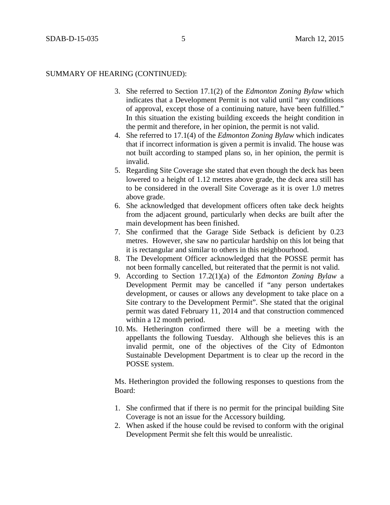- 3. She referred to Section 17.1(2) of the *Edmonton Zoning Bylaw* which indicates that a Development Permit is not valid until "any conditions of approval, except those of a continuing nature, have been fulfilled." In this situation the existing building exceeds the height condition in the permit and therefore, in her opinion, the permit is not valid.
- 4. She referred to 17.1(4) of the *Edmonton Zoning Bylaw* which indicates that if incorrect information is given a permit is invalid. The house was not built according to stamped plans so, in her opinion, the permit is invalid.
- 5. Regarding Site Coverage she stated that even though the deck has been lowered to a height of 1.12 metres above grade, the deck area still has to be considered in the overall Site Coverage as it is over 1.0 metres above grade.
- 6. She acknowledged that development officers often take deck heights from the adjacent ground, particularly when decks are built after the main development has been finished.
- 7. She confirmed that the Garage Side Setback is deficient by 0.23 metres. However, she saw no particular hardship on this lot being that it is rectangular and similar to others in this neighbourhood.
- 8. The Development Officer acknowledged that the POSSE permit has not been formally cancelled, but reiterated that the permit is not valid.
- 9. According to Section 17.2(1)(a) of the *Edmonton Zoning Bylaw* a Development Permit may be cancelled if "any person undertakes development, or causes or allows any development to take place on a Site contrary to the Development Permit". She stated that the original permit was dated February 11, 2014 and that construction commenced within a 12 month period.
- 10. Ms. Hetherington confirmed there will be a meeting with the appellants the following Tuesday. Although she believes this is an invalid permit, one of the objectives of the City of Edmonton Sustainable Development Department is to clear up the record in the POSSE system.

Ms. Hetherington provided the following responses to questions from the Board:

- 1. She confirmed that if there is no permit for the principal building Site Coverage is not an issue for the Accessory building.
- 2. When asked if the house could be revised to conform with the original Development Permit she felt this would be unrealistic.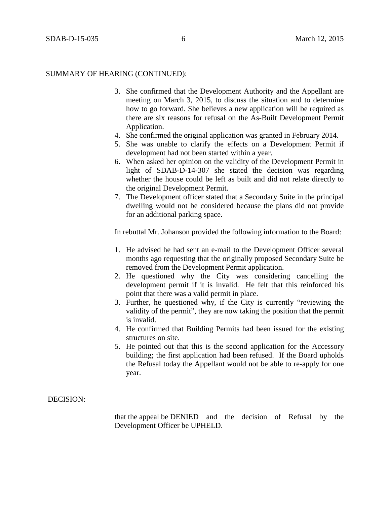- 3. She confirmed that the Development Authority and the Appellant are meeting on March 3, 2015, to discuss the situation and to determine how to go forward. She believes a new application will be required as there are six reasons for refusal on the As-Built Development Permit Application.
- 4. She confirmed the original application was granted in February 2014.
- 5. She was unable to clarify the effects on a Development Permit if development had not been started within a year.
- 6. When asked her opinion on the validity of the Development Permit in light of SDAB-D-14-307 she stated the decision was regarding whether the house could be left as built and did not relate directly to the original Development Permit.
- 7. The Development officer stated that a Secondary Suite in the principal dwelling would not be considered because the plans did not provide for an additional parking space.

In rebuttal Mr. Johanson provided the following information to the Board:

- 1. He advised he had sent an e-mail to the Development Officer several months ago requesting that the originally proposed Secondary Suite be removed from the Development Permit application.
- 2. He questioned why the City was considering cancelling the development permit if it is invalid. He felt that this reinforced his point that there was a valid permit in place.
- 3. Further, he questioned why, if the City is currently "reviewing the validity of the permit", they are now taking the position that the permit is invalid.
- 4. He confirmed that Building Permits had been issued for the existing structures on site.
- 5. He pointed out that this is the second application for the Accessory building; the first application had been refused. If the Board upholds the Refusal today the Appellant would not be able to re-apply for one year.

#### DECISION:

that the appeal be DENIED and the decision of Refusal by the Development Officer be UPHELD.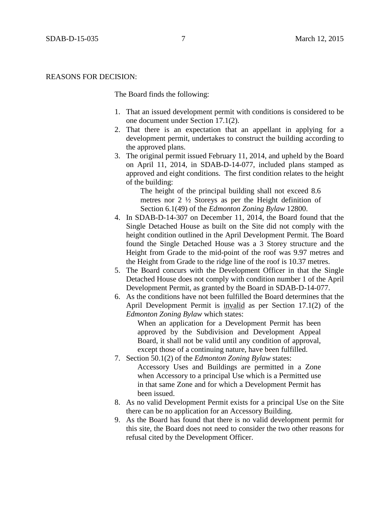#### REASONS FOR DECISION:

The Board finds the following:

- 1. That an issued development permit with conditions is considered to be one document under Section 17.1(2).
- 2. That there is an expectation that an appellant in applying for a development permit, undertakes to construct the building according to the approved plans.
- 3. The original permit issued February 11, 2014, and upheld by the Board on April 11, 2014, in SDAB-D-14-077, included plans stamped as approved and eight conditions. The first condition relates to the height of the building:

The height of the principal building shall not exceed 8.6 metres nor 2 ½ Storeys as per the Height definition of Section 6.1(49) of the *Edmonton Zoning Bylaw* 12800.

- 4. In SDAB-D-14-307 on December 11, 2014, the Board found that the Single Detached House as built on the Site did not comply with the height condition outlined in the April Development Permit. The Board found the Single Detached House was a 3 Storey structure and the Height from Grade to the mid-point of the roof was 9.97 metres and the Height from Grade to the ridge line of the roof is 10.37 metres.
- 5. The Board concurs with the Development Officer in that the Single Detached House does not comply with condition number 1 of the April Development Permit, as granted by the Board in SDAB-D-14-077.
- 6. As the conditions have not been fulfilled the Board determines that the April Development Permit is invalid as per Section 17.1(2) of the *Edmonton Zoning Bylaw* which states:

When an application for a Development Permit has been approved by the Subdivision and Development Appeal Board, it shall not be valid until any condition of approval, except those of a continuing nature, have been fulfilled.

- 7. Section 50.1(2) of the *Edmonton Zoning Bylaw* states: Accessory Uses and Buildings are permitted in a Zone when Accessory to a principal Use which is a Permitted use in that same Zone and for which a Development Permit has been issued.
- 8. As no valid Development Permit exists for a principal Use on the Site there can be no application for an Accessory Building.
- 9. As the Board has found that there is no valid development permit for this site, the Board does not need to consider the two other reasons for refusal cited by the Development Officer.